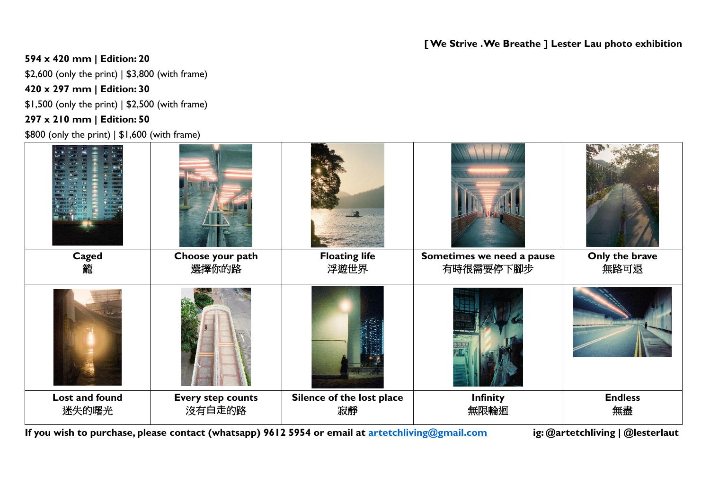## **[We Strive . We Breathe ] Lester Lau photo exhibition**

## **594 x 420 mm | Edition: 20**

\$2,600 (only the print) | \$3,800 (with frame)

**420 x 297 mm | Edition: 30**

\$1,500 (only the print) | \$2,500 (with frame)

### **297 x 210 mm | Edition: 50**

\$800 (only the print) | \$1,600 (with frame)

| <b>Caged</b>   | Choose your path         | <b>Floating life</b>      | Sometimes we need a pause | Only the brave |
|----------------|--------------------------|---------------------------|---------------------------|----------------|
| 籠              | 選擇你的路                    | 浮遊世界                      | 有時很需要停下腳步                 | 無路可退           |
|                |                          |                           |                           |                |
| Lost and found | <b>Every step counts</b> | Silence of the lost place | <b>Infinity</b>           | <b>Endless</b> |
| 迷失的曙光          | 沒有白走的路                   | 寂靜                        | 無限輪迴                      | 無盡             |

**If you wish to purchase, please contact (whatsapp) 9612 5954 or email at [artetchliving@gmail.com](mailto:artetchliving@gmail.com) ig: @artetchliving | @lesterlaut**